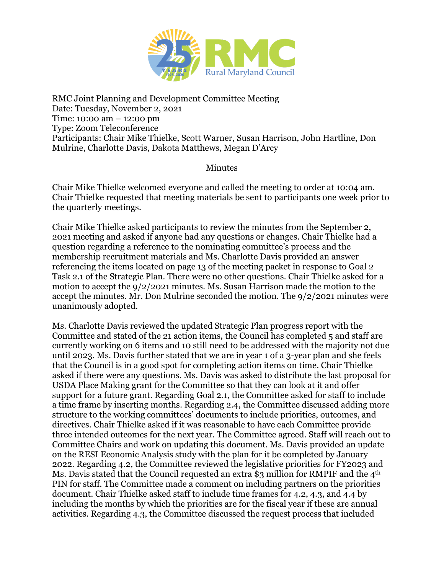

RMC Joint Planning and Development Committee Meeting Date: Tuesday, November 2, 2021 Time: 10:00 am – 12:00 pm Type: Zoom Teleconference Participants: Chair Mike Thielke, Scott Warner, Susan Harrison, John Hartline, Don Mulrine, Charlotte Davis, Dakota Matthews, Megan D'Arcy

## Minutes

Chair Mike Thielke welcomed everyone and called the meeting to order at 10:04 am. Chair Thielke requested that meeting materials be sent to participants one week prior to the quarterly meetings.

Chair Mike Thielke asked participants to review the minutes from the September 2, 2021 meeting and asked if anyone had any questions or changes. Chair Thielke had a question regarding a reference to the nominating committee's process and the membership recruitment materials and Ms. Charlotte Davis provided an answer referencing the items located on page 13 of the meeting packet in response to Goal 2 Task 2.1 of the Strategic Plan. There were no other questions. Chair Thielke asked for a motion to accept the 9/2/2021 minutes. Ms. Susan Harrison made the motion to the accept the minutes. Mr. Don Mulrine seconded the motion. The 9/2/2021 minutes were unanimously adopted.

Ms. Charlotte Davis reviewed the updated Strategic Plan progress report with the Committee and stated of the 21 action items, the Council has completed 5 and staff are currently working on 6 items and 10 still need to be addressed with the majority not due until 2023. Ms. Davis further stated that we are in year 1 of a 3-year plan and she feels that the Council is in a good spot for completing action items on time. Chair Thielke asked if there were any questions. Ms. Davis was asked to distribute the last proposal for USDA Place Making grant for the Committee so that they can look at it and offer support for a future grant. Regarding Goal 2.1, the Committee asked for staff to include a time frame by inserting months. Regarding 2.4, the Committee discussed adding more structure to the working committees' documents to include priorities, outcomes, and directives. Chair Thielke asked if it was reasonable to have each Committee provide three intended outcomes for the next year. The Committee agreed. Staff will reach out to Committee Chairs and work on updating this document. Ms. Davis provided an update on the RESI Economic Analysis study with the plan for it be completed by January 2022. Regarding 4.2, the Committee reviewed the legislative priorities for FY2023 and Ms. Davis stated that the Council requested an extra \$3 million for RMPIF and the 4<sup>th</sup> PIN for staff. The Committee made a comment on including partners on the priorities document. Chair Thielke asked staff to include time frames for 4.2, 4.3, and 4.4 by including the months by which the priorities are for the fiscal year if these are annual activities. Regarding 4.3, the Committee discussed the request process that included